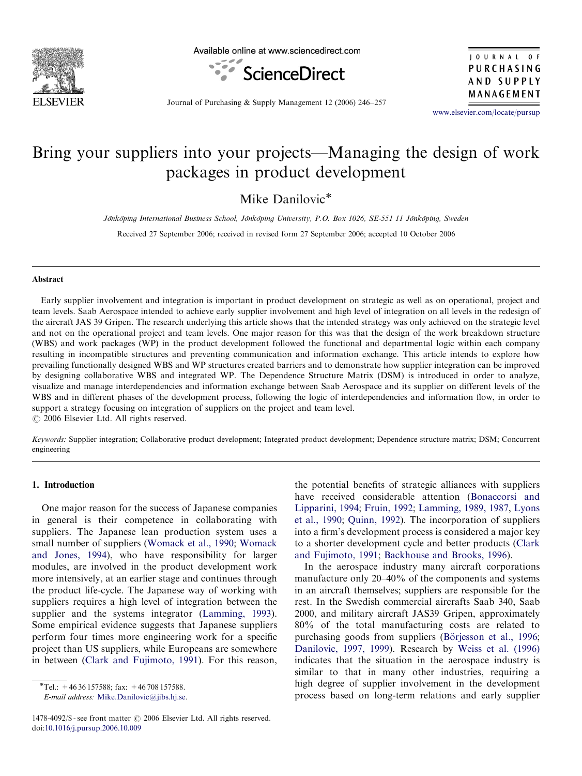

Available online at www.sciencedirect.com



JOURNAL OF PURCHASING AND SUPPLY MANAGEMENT

Journal of Purchasing & Supply Management 12 (2006) 246–257

<www.elsevier.com/locate/pursup>

## Bring your suppliers into your projects—Managing the design of work packages in product development

Mike Danilovic\*

Jönköping International Business School, Jönköping University, P.O. Box 1026, SE-551 11 Jönköping, Sweden

Received 27 September 2006; received in revised form 27 September 2006; accepted 10 October 2006

#### Abstract

Early supplier involvement and integration is important in product development on strategic as well as on operational, project and team levels. Saab Aerospace intended to achieve early supplier involvement and high level of integration on all levels in the redesign of the aircraft JAS 39 Gripen. The research underlying this article shows that the intended strategy was only achieved on the strategic level and not on the operational project and team levels. One major reason for this was that the design of the work breakdown structure (WBS) and work packages (WP) in the product development followed the functional and departmental logic within each company resulting in incompatible structures and preventing communication and information exchange. This article intends to explore how prevailing functionally designed WBS and WP structures created barriers and to demonstrate how supplier integration can be improved by designing collaborative WBS and integrated WP. The Dependence Structure Matrix (DSM) is introduced in order to analyze, visualize and manage interdependencies and information exchange between Saab Aerospace and its supplier on different levels of the WBS and in different phases of the development process, following the logic of interdependencies and information flow, in order to support a strategy focusing on integration of suppliers on the project and team level.

 $C$  2006 Elsevier Ltd. All rights reserved.

Keywords: Supplier integration; Collaborative product development; Integrated product development; Dependence structure matrix; DSM; Concurrent engineering

#### 1. Introduction

One major reason for the success of Japanese companies in general is their competence in collaborating with suppliers. The Japanese lean production system uses a small number of suppliers ([Womack et al., 1990](#page--1-0); [Womack](#page--1-0) [and Jones, 1994](#page--1-0)), who have responsibility for larger modules, are involved in the product development work more intensively, at an earlier stage and continues through the product life-cycle. The Japanese way of working with suppliers requires a high level of integration between the supplier and the systems integrator [\(Lamming, 1993\)](#page--1-0). Some empirical evidence suggests that Japanese suppliers perform four times more engineering work for a specific project than US suppliers, while Europeans are somewhere in between [\(Clark and Fujimoto, 1991\)](#page--1-0). For this reason,

E-mail address: [Mike.Danilovic@jibs.hj.se.](mailto:Mike.Danilovic@jibs.hj.se)

the potential benefits of strategic alliances with suppliers have received considerable attention ([Bonaccorsi and](#page--1-0) [Lipparini, 1994](#page--1-0); [Fruin, 1992;](#page--1-0) [Lamming, 1989, 1987,](#page--1-0) [Lyons](#page--1-0) [et al., 1990;](#page--1-0) [Quinn, 1992\)](#page--1-0). The incorporation of suppliers into a firm's development process is considered a major key to a shorter development cycle and better products ([Clark](#page--1-0) [and Fujimoto, 1991](#page--1-0); [Backhouse and Brooks, 1996\)](#page--1-0).

In the aerospace industry many aircraft corporations manufacture only 20–40% of the components and systems in an aircraft themselves; suppliers are responsible for the rest. In the Swedish commercial aircrafts Saab 340, Saab 2000, and military aircraft JAS39 Gripen, approximately 80% of the total manufacturing costs are related to purchasing goods from suppliers (Börjesson et al., 1996; [Danilovic, 1997, 1999](#page--1-0)). Research by [Weiss et al. \(1996\)](#page--1-0) indicates that the situation in the aerospace industry is similar to that in many other industries, requiring a high degree of supplier involvement in the development process based on long-term relations and early supplier

 $\overline{\text{F} \text{Tel}}$ : +46 36 157588; fax: +46 708 157588.

<sup>1478-4092/\$ -</sup> see front matter © 2006 Elsevier Ltd. All rights reserved. doi:[10.1016/j.pursup.2006.10.009](dx.doi.org/10.1016/j.pursup.2006.10.009)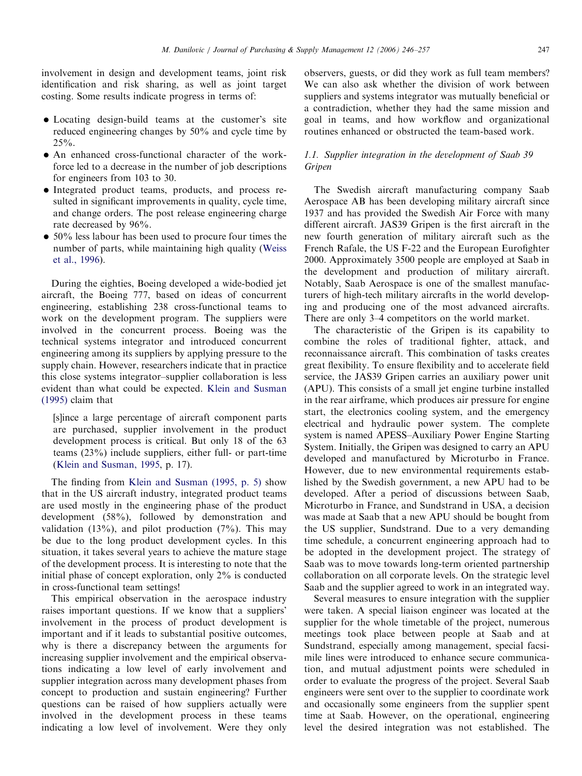involvement in design and development teams, joint risk identification and risk sharing, as well as joint target costing. Some results indicate progress in terms of:

- Locating design-build teams at the customer's site reduced engineering changes by 50% and cycle time by 25%.
- $\bullet$  An enhanced cross-functional character of the workforce led to a decrease in the number of job descriptions for engineers from 103 to 30.
- Integrated product teams, products, and process resulted in significant improvements in quality, cycle time, and change orders. The post release engineering charge rate decreased by 96%.
- 50% less labour has been used to procure four times the number of parts, while maintaining high quality ([Weiss](#page--1-0) [et al., 1996\)](#page--1-0).

During the eighties, Boeing developed a wide-bodied jet aircraft, the Boeing 777, based on ideas of concurrent engineering, establishing 238 cross-functional teams to work on the development program. The suppliers were involved in the concurrent process. Boeing was the technical systems integrator and introduced concurrent engineering among its suppliers by applying pressure to the supply chain. However, researchers indicate that in practice this close systems integrator–supplier collaboration is less evident than what could be expected. [Klein and Susman](#page--1-0) [\(1995\)](#page--1-0) claim that

[s]ince a large percentage of aircraft component parts are purchased, supplier involvement in the product development process is critical. But only 18 of the 63 teams (23%) include suppliers, either full- or part-time ([Klein and Susman, 1995,](#page--1-0) p. 17).

The finding from [Klein and Susman \(1995, p. 5\)](#page--1-0) show that in the US aircraft industry, integrated product teams are used mostly in the engineering phase of the product development (58%), followed by demonstration and validation  $(13\%)$ , and pilot production  $(7\%)$ . This may be due to the long product development cycles. In this situation, it takes several years to achieve the mature stage of the development process. It is interesting to note that the initial phase of concept exploration, only 2% is conducted in cross-functional team settings!

This empirical observation in the aerospace industry raises important questions. If we know that a suppliers' involvement in the process of product development is important and if it leads to substantial positive outcomes, why is there a discrepancy between the arguments for increasing supplier involvement and the empirical observations indicating a low level of early involvement and supplier integration across many development phases from concept to production and sustain engineering? Further questions can be raised of how suppliers actually were involved in the development process in these teams indicating a low level of involvement. Were they only observers, guests, or did they work as full team members? We can also ask whether the division of work between suppliers and systems integrator was mutually beneficial or a contradiction, whether they had the same mission and goal in teams, and how workflow and organizational routines enhanced or obstructed the team-based work.

### 1.1. Supplier integration in the development of Saab 39 Gripen

The Swedish aircraft manufacturing company Saab Aerospace AB has been developing military aircraft since 1937 and has provided the Swedish Air Force with many different aircraft. JAS39 Gripen is the first aircraft in the new fourth generation of military aircraft such as the French Rafale, the US F-22 and the European Eurofighter 2000. Approximately 3500 people are employed at Saab in the development and production of military aircraft. Notably, Saab Aerospace is one of the smallest manufacturers of high-tech military aircrafts in the world developing and producing one of the most advanced aircrafts. There are only 3–4 competitors on the world market.

The characteristic of the Gripen is its capability to combine the roles of traditional fighter, attack, and reconnaissance aircraft. This combination of tasks creates great flexibility. To ensure flexibility and to accelerate field service, the JAS39 Gripen carries an auxiliary power unit (APU). This consists of a small jet engine turbine installed in the rear airframe, which produces air pressure for engine start, the electronics cooling system, and the emergency electrical and hydraulic power system. The complete system is named APESS–Auxiliary Power Engine Starting System. Initially, the Gripen was designed to carry an APU developed and manufactured by Microturbo in France. However, due to new environmental requirements established by the Swedish government, a new APU had to be developed. After a period of discussions between Saab, Microturbo in France, and Sundstrand in USA, a decision was made at Saab that a new APU should be bought from the US supplier, Sundstrand. Due to a very demanding time schedule, a concurrent engineering approach had to be adopted in the development project. The strategy of Saab was to move towards long-term oriented partnership collaboration on all corporate levels. On the strategic level Saab and the supplier agreed to work in an integrated way.

Several measures to ensure integration with the supplier were taken. A special liaison engineer was located at the supplier for the whole timetable of the project, numerous meetings took place between people at Saab and at Sundstrand, especially among management, special facsimile lines were introduced to enhance secure communication, and mutual adjustment points were scheduled in order to evaluate the progress of the project. Several Saab engineers were sent over to the supplier to coordinate work and occasionally some engineers from the supplier spent time at Saab. However, on the operational, engineering level the desired integration was not established. The